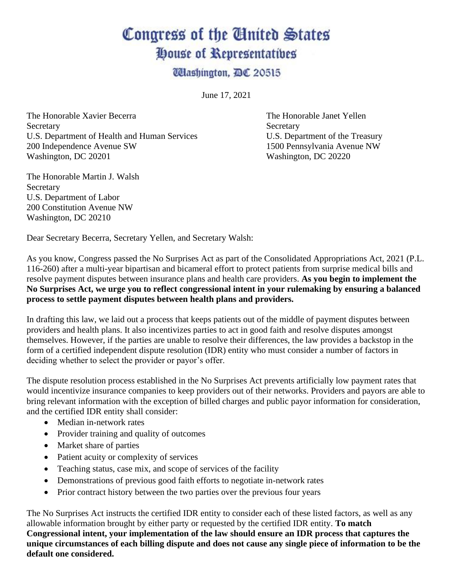## Congress of the United States House of Representatives

**Ulashington, DC 20515** 

June 17, 2021

The Honorable Xavier Becerra The Honorable Janet Yellen Secretary Secretary Secretary Secretary Secretary Secretary Secretary Secretary Secretary Secretary Secretary Secretary Secretary Secretary Secretary Secretary Secretary Secretary Secretary Secretary Secretary Secretary Se U.S. Department of Health and Human Services U.S. Department of the Treasury 200 Independence Avenue SW 1500 Pennsylvania Avenue NW Washington, DC 20201 Washington, DC 20220

The Honorable Martin J. Walsh **Secretary** U.S. Department of Labor 200 Constitution Avenue NW Washington, DC 20210

Dear Secretary Becerra, Secretary Yellen, and Secretary Walsh:

As you know, Congress passed the No Surprises Act as part of the Consolidated Appropriations Act, 2021 (P.L. 116-260) after a multi-year bipartisan and bicameral effort to protect patients from surprise medical bills and resolve payment disputes between insurance plans and health care providers. **As you begin to implement the No Surprises Act, we urge you to reflect congressional intent in your rulemaking by ensuring a balanced process to settle payment disputes between health plans and providers.**

In drafting this law, we laid out a process that keeps patients out of the middle of payment disputes between providers and health plans. It also incentivizes parties to act in good faith and resolve disputes amongst themselves. However, if the parties are unable to resolve their differences, the law provides a backstop in the form of a certified independent dispute resolution (IDR) entity who must consider a number of factors in deciding whether to select the provider or payor's offer.

The dispute resolution process established in the No Surprises Act prevents artificially low payment rates that would incentivize insurance companies to keep providers out of their networks. Providers and payors are able to bring relevant information with the exception of billed charges and public payor information for consideration, and the certified IDR entity shall consider:

- Median in-network rates
- Provider training and quality of outcomes
- Market share of parties
- Patient acuity or complexity of services
- Teaching status, case mix, and scope of services of the facility
- Demonstrations of previous good faith efforts to negotiate in-network rates
- Prior contract history between the two parties over the previous four years

The No Surprises Act instructs the certified IDR entity to consider each of these listed factors, as well as any allowable information brought by either party or requested by the certified IDR entity. **To match Congressional intent, your implementation of the law should ensure an IDR process that captures the unique circumstances of each billing dispute and does not cause any single piece of information to be the default one considered.**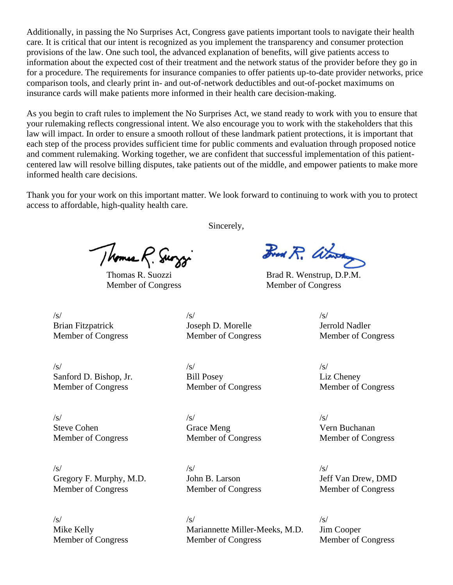Additionally, in passing the No Surprises Act, Congress gave patients important tools to navigate their health care. It is critical that our intent is recognized as you implement the transparency and consumer protection provisions of the law. One such tool, the advanced explanation of benefits, will give patients access to information about the expected cost of their treatment and the network status of the provider before they go in for a procedure. The requirements for insurance companies to offer patients up-to-date provider networks, price comparison tools, and clearly print in- and out-of-network deductibles and out-of-pocket maximums on insurance cards will make patients more informed in their health care decision-making.

As you begin to craft rules to implement the No Surprises Act, we stand ready to work with you to ensure that your rulemaking reflects congressional intent. We also encourage you to work with the stakeholders that this law will impact. In order to ensure a smooth rollout of these landmark patient protections, it is important that each step of the process provides sufficient time for public comments and evaluation through proposed notice and comment rulemaking. Working together, we are confident that successful implementation of this patientcentered law will resolve billing disputes, take patients out of the middle, and empower patients to make more informed health care decisions.

Thank you for your work on this important matter. We look forward to continuing to work with you to protect access to affordable, high-quality health care.

Thomas R. Surggi

Sincerely,

Fred R. Waren

Thomas R. Suozzi Brad R. Wenstrup, D.P.M. Member of Congress Member of Congress

 $\sqrt{s}$ / $\sqrt{s}$ / $\sqrt{s}$ / $\sqrt{s}$ / $\sqrt{s}$ / $\sqrt{s}$ / $\sqrt{s}$ / $\sqrt{s}$ / $\sqrt{s}$ / $\sqrt{s}$ / $\sqrt{s}$ / $\sqrt{s}$ / $\sqrt{s}$ / $\sqrt{s}$ / $\sqrt{s}$ / $\sqrt{s}$ / $\sqrt{s}$ / $\sqrt{s}$ / $\sqrt{s}$ / $\sqrt{s}$ / $\sqrt{s}$ / $\sqrt{s}$ / $\sqrt{s}$ / $\sqrt{s}$ / $\sqrt{s}$ / $\sqrt{s}$ / $\sqrt{s}$ / $\sqrt{s}$ / $\sqrt{s}$ / $\sqrt{s}$ / $\sqrt{s}$ / $\sqrt{s$ Brian Fitzpatrick Joseph D. Morelle Jerrold Nadler Member of Congress Member of Congress Member of Congress

 $\sqrt{s}$ / $\sqrt{s}$ / $\sqrt{s}$ / $\sqrt{s}$ / $\sqrt{s}$ / $\sqrt{s}$ / $\sqrt{s}$ / $\sqrt{s}$ / $\sqrt{s}$ / $\sqrt{s}$ / $\sqrt{s}$ / $\sqrt{s}$ / $\sqrt{s}$ / $\sqrt{s}$ / $\sqrt{s}$ / $\sqrt{s}$ / $\sqrt{s}$ / $\sqrt{s}$ / $\sqrt{s}$ / $\sqrt{s}$ / $\sqrt{s}$ / $\sqrt{s}$ / $\sqrt{s}$ / $\sqrt{s}$ / $\sqrt{s}$ / $\sqrt{s}$ / $\sqrt{s}$ / $\sqrt{s}$ / $\sqrt{s}$ / $\sqrt{s}$ / $\sqrt{s}$ / $\sqrt{s$ Sanford D. Bishop, Jr. Bill Posey Liz Cheney Member of Congress Member of Congress Member of Congress

 $\sqrt{s}$ / $\sqrt{s}$ / $\sqrt{s}$ / $\sqrt{s}$ / $\sqrt{s}$ / $\sqrt{s}$ / $\sqrt{s}$ / $\sqrt{s}$ / $\sqrt{s}$ / $\sqrt{s}$ / $\sqrt{s}$ / $\sqrt{s}$ / $\sqrt{s}$ / $\sqrt{s}$ / $\sqrt{s}$ / $\sqrt{s}$ / $\sqrt{s}$ / $\sqrt{s}$ / $\sqrt{s}$ / $\sqrt{s}$ / $\sqrt{s}$ / $\sqrt{s}$ / $\sqrt{s}$ / $\sqrt{s}$ / $\sqrt{s}$ / $\sqrt{s}$ / $\sqrt{s}$ / $\sqrt{s}$ / $\sqrt{s}$ / $\sqrt{s}$ / $\sqrt{s}$ / $\sqrt{s$ Steve Cohen Grace Meng Grace Meng Vern Buchanan Member of Congress Member of Congress Member of Congress

 $\sqrt{s}$ / $\sqrt{s}$ / $\sqrt{s}$ / $\sqrt{s}$ / $\sqrt{s}$ / $\sqrt{s}$ / $\sqrt{s}$ / $\sqrt{s}$ / $\sqrt{s}$ / $\sqrt{s}$ / $\sqrt{s}$ / $\sqrt{s}$ / $\sqrt{s}$ / $\sqrt{s}$ / $\sqrt{s}$ / $\sqrt{s}$ / $\sqrt{s}$ / $\sqrt{s}$ / $\sqrt{s}$ / $\sqrt{s}$ / $\sqrt{s}$ / $\sqrt{s}$ / $\sqrt{s}$ / $\sqrt{s}$ / $\sqrt{s}$ / $\sqrt{s}$ / $\sqrt{s}$ / $\sqrt{s}$ / $\sqrt{s}$ / $\sqrt{s}$ / $\sqrt{s}$ / $\sqrt{s$ Gregory F. Murphy, M.D. John B. Larson Jeff Van Drew, DMD Member of Congress Member of Congress Member of Congress

 $\sqrt{s}$ / $\sqrt{s}$ / $\sqrt{s}$ / $\sqrt{s}$ / $\sqrt{s}$ / $\sqrt{s}$ / $\sqrt{s}$ / $\sqrt{s}$ / $\sqrt{s}$ / $\sqrt{s}$ / $\sqrt{s}$ / $\sqrt{s}$ / $\sqrt{s}$ / $\sqrt{s}$ / $\sqrt{s}$ / $\sqrt{s}$ / $\sqrt{s}$ / $\sqrt{s}$ / $\sqrt{s}$ / $\sqrt{s}$ / $\sqrt{s}$ / $\sqrt{s}$ / $\sqrt{s}$ / $\sqrt{s}$ / $\sqrt{s}$ / $\sqrt{s}$ / $\sqrt{s}$ / $\sqrt{s}$ / $\sqrt{s}$ / $\sqrt{s}$ / $\sqrt{s}$ / $\sqrt{s$ Mike Kelly Mariannette Miller-Meeks, M.D. Jim Cooper Member of Congress Member of Congress Member of Congress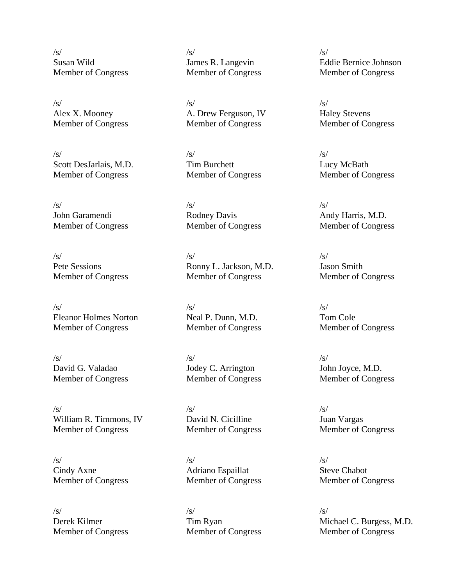$\sqrt{s}$ / $\sqrt{s}$ / $\sqrt{s}$ / $\sqrt{s}$ / $\sqrt{s}$ / $\sqrt{s}$ / $\sqrt{s}$ / $\sqrt{s}$ / $\sqrt{s}$ / $\sqrt{s}$ / $\sqrt{s}$ / $\sqrt{s}$ / $\sqrt{s}$ / $\sqrt{s}$ / $\sqrt{s}$ / $\sqrt{s}$ / $\sqrt{s}$ / $\sqrt{s}$ / $\sqrt{s}$ / $\sqrt{s}$ / $\sqrt{s}$ / $\sqrt{s}$ / $\sqrt{s}$ / $\sqrt{s}$ / $\sqrt{s}$ / $\sqrt{s}$ / $\sqrt{s}$ / $\sqrt{s}$ / $\sqrt{s}$ / $\sqrt{s}$ / $\sqrt{s}$ / $\sqrt{s$ 

 $\sqrt{s}$ / $\sqrt{s}$ / $\sqrt{s}$ / $\sqrt{s}$ / $\sqrt{s}$ / $\sqrt{s}$ / $\sqrt{s}$ / $\sqrt{s}$ / $\sqrt{s}$ / $\sqrt{s}$ / $\sqrt{s}$ / $\sqrt{s}$ / $\sqrt{s}$ / $\sqrt{s}$ / $\sqrt{s}$ / $\sqrt{s}$ / $\sqrt{s}$ / $\sqrt{s}$ / $\sqrt{s}$ / $\sqrt{s}$ / $\sqrt{s}$ / $\sqrt{s}$ / $\sqrt{s}$ / $\sqrt{s}$ / $\sqrt{s}$ / $\sqrt{s}$ / $\sqrt{s}$ / $\sqrt{s}$ / $\sqrt{s}$ / $\sqrt{s}$ / $\sqrt{s}$ / $\sqrt{s$ Scott DesJarlais, M.D. Tim Burchett Lucy McBath Member of Congress Member of Congress Member of Congress

 $\sqrt{s}$ / $\sqrt{s}$ / $\sqrt{s}$ / $\sqrt{s}$ / $\sqrt{s}$ / $\sqrt{s}$ / $\sqrt{s}$ / $\sqrt{s}$ / $\sqrt{s}$ / $\sqrt{s}$ / $\sqrt{s}$ / $\sqrt{s}$ / $\sqrt{s}$ / $\sqrt{s}$ / $\sqrt{s}$ / $\sqrt{s}$ / $\sqrt{s}$ / $\sqrt{s}$ / $\sqrt{s}$ / $\sqrt{s}$ / $\sqrt{s}$ / $\sqrt{s}$ / $\sqrt{s}$ / $\sqrt{s}$ / $\sqrt{s}$ / $\sqrt{s}$ / $\sqrt{s}$ / $\sqrt{s}$ / $\sqrt{s}$ / $\sqrt{s}$ / $\sqrt{s}$ / $\sqrt{s$ 

 $\sqrt{s}$ / $\sqrt{s}$ / $\sqrt{s}$ / $\sqrt{s}$ / $\sqrt{s}$ / $\sqrt{s}$ / $\sqrt{s}$ / $\sqrt{s}$ / $\sqrt{s}$ / $\sqrt{s}$ / $\sqrt{s}$ / $\sqrt{s}$ / $\sqrt{s}$ / $\sqrt{s}$ / $\sqrt{s}$ / $\sqrt{s}$ / $\sqrt{s}$ / $\sqrt{s}$ / $\sqrt{s}$ / $\sqrt{s}$ / $\sqrt{s}$ / $\sqrt{s}$ / $\sqrt{s}$ / $\sqrt{s}$ / $\sqrt{s}$ / $\sqrt{s}$ / $\sqrt{s}$ / $\sqrt{s}$ / $\sqrt{s}$ / $\sqrt{s}$ / $\sqrt{s}$ / $\sqrt{s$ Eleanor Holmes Norton Neal P. Dunn, M.D. Tom Cole Member of Congress Member of Congress Member of Congress

 $\sqrt{s}$ / $\sqrt{s}$ / $\sqrt{s}$ / $\sqrt{s}$ / $\sqrt{s}$ / $\sqrt{s}$ / $\sqrt{s}$ / $\sqrt{s}$ / $\sqrt{s}$ / $\sqrt{s}$ / $\sqrt{s}$ / $\sqrt{s}$ / $\sqrt{s}$ / $\sqrt{s}$ / $\sqrt{s}$ / $\sqrt{s}$ / $\sqrt{s}$ / $\sqrt{s}$ / $\sqrt{s}$ / $\sqrt{s}$ / $\sqrt{s}$ / $\sqrt{s}$ / $\sqrt{s}$ / $\sqrt{s}$ / $\sqrt{s}$ / $\sqrt{s}$ / $\sqrt{s}$ / $\sqrt{s}$ / $\sqrt{s}$ / $\sqrt{s}$ / $\sqrt{s}$ / $\sqrt{s$ David G. Valadao Jodey C. Arrington John Joyce, M.D.

 $\sqrt{s}$ / $\sqrt{s}$ / $\sqrt{s}$ / $\sqrt{s}$ / $\sqrt{s}$ / $\sqrt{s}$ / $\sqrt{s}$ / $\sqrt{s}$ / $\sqrt{s}$ / $\sqrt{s}$ / $\sqrt{s}$ / $\sqrt{s}$ / $\sqrt{s}$ / $\sqrt{s}$ / $\sqrt{s}$ / $\sqrt{s}$ / $\sqrt{s}$ / $\sqrt{s}$ / $\sqrt{s}$ / $\sqrt{s}$ / $\sqrt{s}$ / $\sqrt{s}$ / $\sqrt{s}$ / $\sqrt{s}$ / $\sqrt{s}$ / $\sqrt{s}$ / $\sqrt{s}$ / $\sqrt{s}$ / $\sqrt{s}$ / $\sqrt{s}$ / $\sqrt{s}$ / $\sqrt{s$ William R. Timmons, IV David N. Cicilline Juan Vargas Member of Congress Member of Congress Member of Congress

 $\sqrt{s}$ / $\sqrt{s}$ / $\sqrt{s}$ / $\sqrt{s}$ / $\sqrt{s}$ / $\sqrt{s}$ / $\sqrt{s}$ / $\sqrt{s}$ / $\sqrt{s}$ / $\sqrt{s}$ / $\sqrt{s}$ / $\sqrt{s}$ / $\sqrt{s}$ / $\sqrt{s}$ / $\sqrt{s}$ / $\sqrt{s}$ / $\sqrt{s}$ / $\sqrt{s}$ / $\sqrt{s}$ / $\sqrt{s}$ / $\sqrt{s}$ / $\sqrt{s}$ / $\sqrt{s}$ / $\sqrt{s}$ / $\sqrt{s}$ / $\sqrt{s}$ / $\sqrt{s}$ / $\sqrt{s}$ / $\sqrt{s}$ / $\sqrt{s}$ / $\sqrt{s}$ / $\sqrt{s$ 

 $\sqrt{s}$ / $\sqrt{s}$ / $\sqrt{s}$ / $\sqrt{s}$ / $\sqrt{s}$ / $\sqrt{s}$ / $\sqrt{s}$ / $\sqrt{s}$ / $\sqrt{s}$ / $\sqrt{s}$ / $\sqrt{s}$ / $\sqrt{s}$ / $\sqrt{s}$ / $\sqrt{s}$ / $\sqrt{s}$ / $\sqrt{s}$ / $\sqrt{s}$ / $\sqrt{s}$ / $\sqrt{s}$ / $\sqrt{s}$ / $\sqrt{s}$ / $\sqrt{s}$ / $\sqrt{s}$ / $\sqrt{s}$ / $\sqrt{s}$ / $\sqrt{s}$ / $\sqrt{s}$ / $\sqrt{s}$ / $\sqrt{s}$ / $\sqrt{s}$ / $\sqrt{s}$ / $\sqrt{s$ Alex X. Mooney A. Drew Ferguson, IV Haley Stevens Member of Congress Member of Congress Member of Congress

John Garamendi Rodney Davis Andy Harris, M.D.

 $\sqrt{s}$ / $\sqrt{s}$ / $\sqrt{s}$ / $\sqrt{s}$ / $\sqrt{s}$ / $\sqrt{s}$ / $\sqrt{s}$ / $\sqrt{s}$ / $\sqrt{s}$ / $\sqrt{s}$ / $\sqrt{s}$ / $\sqrt{s}$ / $\sqrt{s}$ / $\sqrt{s}$ / $\sqrt{s}$ / $\sqrt{s}$ / $\sqrt{s}$ / $\sqrt{s}$ / $\sqrt{s}$ / $\sqrt{s}$ / $\sqrt{s}$ / $\sqrt{s}$ / $\sqrt{s}$ / $\sqrt{s}$ / $\sqrt{s}$ / $\sqrt{s}$ / $\sqrt{s}$ / $\sqrt{s}$ / $\sqrt{s}$ / $\sqrt{s}$ / $\sqrt{s}$ / $\sqrt{s$ Pete Sessions Ronny L. Jackson, M.D. Jason Smith Member of Congress Member of Congress Member of Congress

Cindy Axne Adriano Espaillat Steve Chabot Member of Congress Member of Congress Member of Congress

 $\sqrt{s}$ / $\sqrt{s}$ / $\sqrt{s}$ / $\sqrt{s}$ / $\sqrt{s}$ / $\sqrt{s}$ / $\sqrt{s}$ / $\sqrt{s}$ / $\sqrt{s}$ / $\sqrt{s}$ / $\sqrt{s}$ / $\sqrt{s}$ / $\sqrt{s}$ / $\sqrt{s}$ / $\sqrt{s}$ / $\sqrt{s}$ / $\sqrt{s}$ / $\sqrt{s}$ / $\sqrt{s}$ / $\sqrt{s}$ / $\sqrt{s}$ / $\sqrt{s}$ / $\sqrt{s}$ / $\sqrt{s}$ / $\sqrt{s}$ / $\sqrt{s}$ / $\sqrt{s}$ / $\sqrt{s}$ / $\sqrt{s}$ / $\sqrt{s}$ / $\sqrt{s}$ / $\sqrt{s$ Member of Congress Member of Congress Member of Congress

Susan Wild James R. Langevin Eddie Bernice Johnson Member of Congress Member of Congress Member of Congress

Member of Congress Member of Congress Member of Congress

Member of Congress Member of Congress Member of Congress

Derek Kilmer Tim Ryan Michael C. Burgess, M.D.<br>Member of Congress Member of Congress Member of Congress Member of Congress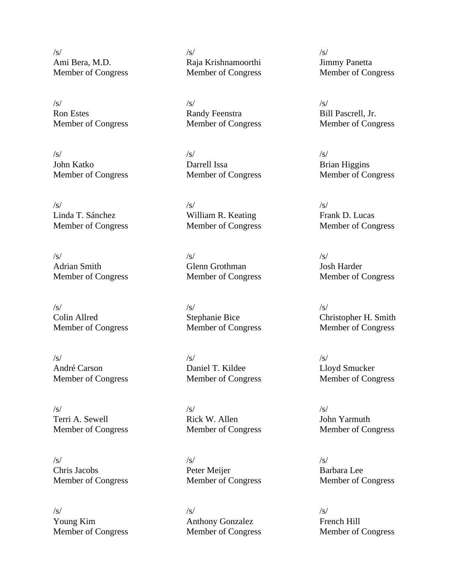Ami Bera, M.D. Raja Krishnamoorthi Jimmy Panetta

Ron Estes **Randy Feenstra** Bill Pascrell, Jr. Member of Congress Member of Congress Member of Congress

 $\sqrt{s}$ / $\sqrt{s}$ / $\sqrt{s}$ / $\sqrt{s}$ / $\sqrt{s}$ / $\sqrt{s}$ / $\sqrt{s}$ / $\sqrt{s}$ / $\sqrt{s}$ / $\sqrt{s}$ / $\sqrt{s}$ / $\sqrt{s}$ / $\sqrt{s}$ / $\sqrt{s}$ / $\sqrt{s}$ / $\sqrt{s}$ / $\sqrt{s}$ / $\sqrt{s}$ / $\sqrt{s}$ / $\sqrt{s}$ / $\sqrt{s}$ / $\sqrt{s}$ / $\sqrt{s}$ / $\sqrt{s}$ / $\sqrt{s}$ / $\sqrt{s}$ / $\sqrt{s}$ / $\sqrt{s}$ / $\sqrt{s}$ / $\sqrt{s}$ / $\sqrt{s}$ / $\sqrt{s$ 

 $\sqrt{s}$ / $\sqrt{s}$ / $\sqrt{s}$ / $\sqrt{s}$ / $\sqrt{s}$ / $\sqrt{s}$ / $\sqrt{s}$ / $\sqrt{s}$ / $\sqrt{s}$ / $\sqrt{s}$ / $\sqrt{s}$ / $\sqrt{s}$ / $\sqrt{s}$ / $\sqrt{s}$ / $\sqrt{s}$ / $\sqrt{s}$ / $\sqrt{s}$ / $\sqrt{s}$ / $\sqrt{s}$ / $\sqrt{s}$ / $\sqrt{s}$ / $\sqrt{s}$ / $\sqrt{s}$ / $\sqrt{s}$ / $\sqrt{s}$ / $\sqrt{s}$ / $\sqrt{s}$ / $\sqrt{s}$ / $\sqrt{s}$ / $\sqrt{s}$ / $\sqrt{s}$ / $\sqrt{s$ Colin Allred Stephanie Bice Christopher H. Smith<br>
Member of Congress Member of Congress Member of Congress Member of Congress Member of Congress Member of Congress

 $\sqrt{s}$ / $\sqrt{s}$ / $\sqrt{s}$ / $\sqrt{s}$ / $\sqrt{s}$ / $\sqrt{s}$ / $\sqrt{s}$ / $\sqrt{s}$ / $\sqrt{s}$ / $\sqrt{s}$ / $\sqrt{s}$ / $\sqrt{s}$ / $\sqrt{s}$ / $\sqrt{s}$ / $\sqrt{s}$ / $\sqrt{s}$ / $\sqrt{s}$ / $\sqrt{s}$ / $\sqrt{s}$ / $\sqrt{s}$ / $\sqrt{s}$ / $\sqrt{s}$ / $\sqrt{s}$ / $\sqrt{s}$ / $\sqrt{s}$ / $\sqrt{s}$ / $\sqrt{s}$ / $\sqrt{s}$ / $\sqrt{s}$ / $\sqrt{s}$ / $\sqrt{s}$ / $\sqrt{s$ 

 $\sqrt{s}$ / $\sqrt{s}$ / $\sqrt{s}$ / $\sqrt{s}$ / $\sqrt{s}$ / $\sqrt{s}$ / $\sqrt{s}$ / $\sqrt{s}$ / $\sqrt{s}$ / $\sqrt{s}$ / $\sqrt{s}$ / $\sqrt{s}$ / $\sqrt{s}$ / $\sqrt{s}$ / $\sqrt{s}$ / $\sqrt{s}$ / $\sqrt{s}$ / $\sqrt{s}$ / $\sqrt{s}$ / $\sqrt{s}$ / $\sqrt{s}$ / $\sqrt{s}$ / $\sqrt{s}$ / $\sqrt{s}$ / $\sqrt{s}$ / $\sqrt{s}$ / $\sqrt{s}$ / $\sqrt{s}$ / $\sqrt{s}$ / $\sqrt{s}$ / $\sqrt{s}$ / $\sqrt{s$ 

 $\sqrt{s}$ / $\sqrt{s}$ / $\sqrt{s}$ / $\sqrt{s}$ / $\sqrt{s}$ / $\sqrt{s}$ / $\sqrt{s}$ / $\sqrt{s}$ / $\sqrt{s}$ / $\sqrt{s}$ / $\sqrt{s}$ / $\sqrt{s}$ / $\sqrt{s}$ / $\sqrt{s}$ / $\sqrt{s}$ / $\sqrt{s}$ / $\sqrt{s}$ / $\sqrt{s}$ / $\sqrt{s}$ / $\sqrt{s}$ / $\sqrt{s}$ / $\sqrt{s}$ / $\sqrt{s}$ / $\sqrt{s}$ / $\sqrt{s}$ / $\sqrt{s}$ / $\sqrt{s}$ / $\sqrt{s}$ / $\sqrt{s}$ / $\sqrt{s}$ / $\sqrt{s}$ / $\sqrt{s$ 

 $\sqrt{s}$ / $\sqrt{s}$ / $\sqrt{s}$ / $\sqrt{s}$ / $\sqrt{s}$ / $\sqrt{s}$ / $\sqrt{s}$ / $\sqrt{s}$ / $\sqrt{s}$ / $\sqrt{s}$ / $\sqrt{s}$ / $\sqrt{s}$ / $\sqrt{s}$ / $\sqrt{s}$ / $\sqrt{s}$ / $\sqrt{s}$ / $\sqrt{s}$ / $\sqrt{s}$ / $\sqrt{s}$ / $\sqrt{s}$ / $\sqrt{s}$ / $\sqrt{s}$ / $\sqrt{s}$ / $\sqrt{s}$ / $\sqrt{s}$ / $\sqrt{s}$ / $\sqrt{s}$ / $\sqrt{s}$ / $\sqrt{s}$ / $\sqrt{s}$ / $\sqrt{s}$ / $\sqrt{s$ 

 $\sqrt{s}$ / $\sqrt{s}$ / $\sqrt{s}$ / $\sqrt{s}$ / $\sqrt{s}$ / $\sqrt{s}$ / $\sqrt{s}$ / $\sqrt{s}$ / $\sqrt{s}$ / $\sqrt{s}$ / $\sqrt{s}$ / $\sqrt{s}$ / $\sqrt{s}$ / $\sqrt{s}$ / $\sqrt{s}$ / $\sqrt{s}$ / $\sqrt{s}$ / $\sqrt{s}$ / $\sqrt{s}$ / $\sqrt{s}$ / $\sqrt{s}$ / $\sqrt{s}$ / $\sqrt{s}$ / $\sqrt{s}$ / $\sqrt{s}$ / $\sqrt{s}$ / $\sqrt{s}$ / $\sqrt{s}$ / $\sqrt{s}$ / $\sqrt{s}$ / $\sqrt{s}$ / $\sqrt{s$ John Katko **Darrell Issa** Brian Higgins

Linda T. Sánchez William R. Keating Frank D. Lucas Member of Congress Member of Congress Member of Congress

 $\sqrt{s}$ / $\sqrt{s}$ / $\sqrt{s}$ / $\sqrt{s}$ / $\sqrt{s}$ / $\sqrt{s}$ / $\sqrt{s}$ / $\sqrt{s}$ / $\sqrt{s}$ / $\sqrt{s}$ / $\sqrt{s}$ / $\sqrt{s}$ / $\sqrt{s}$ / $\sqrt{s}$ / $\sqrt{s}$ / $\sqrt{s}$ / $\sqrt{s}$ / $\sqrt{s}$ / $\sqrt{s}$ / $\sqrt{s}$ / $\sqrt{s}$ / $\sqrt{s}$ / $\sqrt{s}$ / $\sqrt{s}$ / $\sqrt{s}$ / $\sqrt{s}$ / $\sqrt{s}$ / $\sqrt{s}$ / $\sqrt{s}$ / $\sqrt{s}$ / $\sqrt{s}$ / $\sqrt{s$ Adrian Smith Glenn Grothman Josh Harder Member of Congress Member of Congress Member of Congress

André Carson Daniel T. Kildee Lloyd Smucker

 $\sqrt{s}$ / $\sqrt{s}$ / $\sqrt{s}$ / $\sqrt{s}$ / $\sqrt{s}$ / $\sqrt{s}$ / $\sqrt{s}$ / $\sqrt{s}$ / $\sqrt{s}$ / $\sqrt{s}$ / $\sqrt{s}$ / $\sqrt{s}$ / $\sqrt{s}$ / $\sqrt{s}$ / $\sqrt{s}$ / $\sqrt{s}$ / $\sqrt{s}$ / $\sqrt{s}$ / $\sqrt{s}$ / $\sqrt{s}$ / $\sqrt{s}$ / $\sqrt{s}$ / $\sqrt{s}$ / $\sqrt{s}$ / $\sqrt{s}$ / $\sqrt{s}$ / $\sqrt{s}$ / $\sqrt{s}$ / $\sqrt{s}$ / $\sqrt{s}$ / $\sqrt{s}$ / $\sqrt{s$ Terri A. Sewell **Rick W. Allen** John Yarmuth Member of Congress Member of Congress Member of Congress

Chris Jacobs Peter Meijer Barbara Lee Member of Congress Member of Congress Member of Congress

 $\sqrt{s}$ / $\sqrt{s}$ / $\sqrt{s}$ / $\sqrt{s}$ / $\sqrt{s}$ / $\sqrt{s}$ / $\sqrt{s}$ / $\sqrt{s}$ / $\sqrt{s}$ / $\sqrt{s}$ / $\sqrt{s}$ / $\sqrt{s}$ / $\sqrt{s}$ / $\sqrt{s}$ / $\sqrt{s}$ / $\sqrt{s}$ / $\sqrt{s}$ / $\sqrt{s}$ / $\sqrt{s}$ / $\sqrt{s}$ / $\sqrt{s}$ / $\sqrt{s}$ / $\sqrt{s}$ / $\sqrt{s}$ / $\sqrt{s}$ / $\sqrt{s}$ / $\sqrt{s}$ / $\sqrt{s}$ / $\sqrt{s}$ / $\sqrt{s}$ / $\sqrt{s}$ / $\sqrt{s$ Young Kim Anthony Gonzalez French Hill Member of Congress Member of Congress Member of Congress

Member of Congress Member of Congress Member of Congress

Member of Congress Member of Congress Member of Congress

Member of Congress Member of Congress Member of Congress